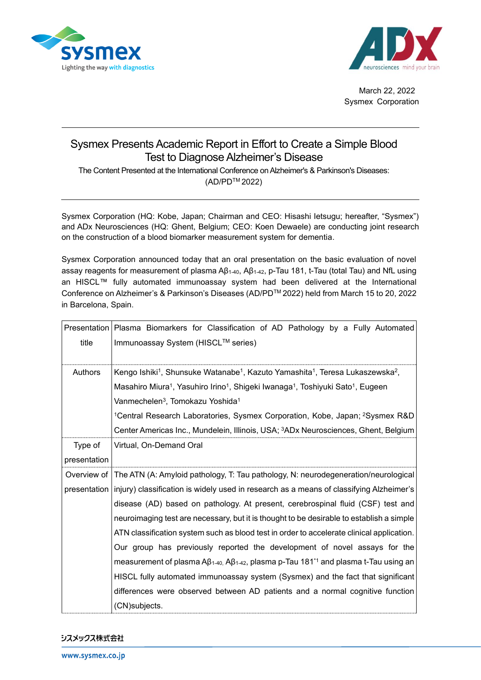



March 22, 2022 Sysmex Corporation

## Sysmex Presents Academic Report in Effort to Create a Simple Blood Test to Diagnose Alzheimer's Disease

The Content Presented at the International Conference on Alzheimer's & Parkinson's Diseases: (AD/PDTM 2022)

Sysmex Corporation (HQ: Kobe, Japan; Chairman and CEO: Hisashi Ietsugu; hereafter, "Sysmex") and ADx Neurosciences (HQ: Ghent, Belgium; CEO: Koen Dewaele) are conducting joint research on the construction of a blood biomarker measurement system for dementia.

Sysmex Corporation announced today that an oral presentation on the basic evaluation of novel assay reagents for measurement of plasma Aβ<sub>1-40</sub>, Aβ<sub>1-42</sub>, p-Tau 181, t-Tau (total Tau) and NfL using an HISCL™ fully automated immunoassay system had been delivered at the International Conference on Alzheimer's & Parkinson's Diseases (AD/PDTM 2022) held from March 15 to 20, 2022 in Barcelona, Spain.

|              | Presentation   Plasma Biomarkers for Classification of AD Pathology by a Fully Automated                                               |
|--------------|----------------------------------------------------------------------------------------------------------------------------------------|
| title        | Immunoassay System (HISCL™ series)                                                                                                     |
| Authors      | Kengo Ishiki <sup>1</sup> , Shunsuke Watanabe <sup>1</sup> , Kazuto Yamashita <sup>1</sup> , Teresa Lukaszewska <sup>2</sup> ,         |
|              | Masahiro Miura <sup>1</sup> , Yasuhiro Irino <sup>1</sup> , Shigeki Iwanaga <sup>1</sup> , Toshiyuki Sato <sup>1</sup> , Eugeen        |
|              | Vanmechelen <sup>3</sup> , Tomokazu Yoshida <sup>1</sup>                                                                               |
|              | <sup>1</sup> Central Research Laboratories, Sysmex Corporation, Kobe, Japan; <sup>2</sup> Sysmex R&D                                   |
|              | Center Americas Inc., Mundelein, Illinois, USA; <sup>3</sup> ADx Neurosciences, Ghent, Belgium                                         |
| Type of      | Virtual, On-Demand Oral                                                                                                                |
| presentation |                                                                                                                                        |
| Overview of  | The ATN (A: Amyloid pathology, T: Tau pathology, N: neurodegeneration/neurological                                                     |
|              | presentation   injury) classification is widely used in research as a means of classifying Alzheimer's                                 |
|              | disease (AD) based on pathology. At present, cerebrospinal fluid (CSF) test and                                                        |
|              | neuroimaging test are necessary, but it is thought to be desirable to establish a simple                                               |
|              | ATN classification system such as blood test in order to accelerate clinical application.                                              |
|              | Our group has previously reported the development of novel assays for the                                                              |
|              | measurement of plasma A $\beta$ <sub>1-40</sub> , A $\beta$ <sub>1-42</sub> , plasma p-Tau 181 <sup>*1</sup> and plasma t-Tau using an |
|              | HISCL fully automated immunoassay system (Sysmex) and the fact that significant                                                        |
|              | differences were observed between AD patients and a normal cognitive function                                                          |
|              | (CN)subjects.                                                                                                                          |

シスメックス株式会社